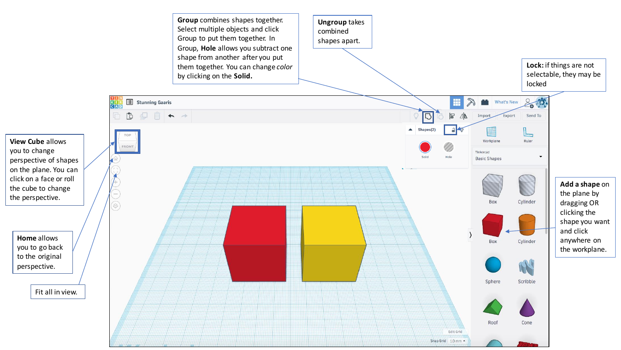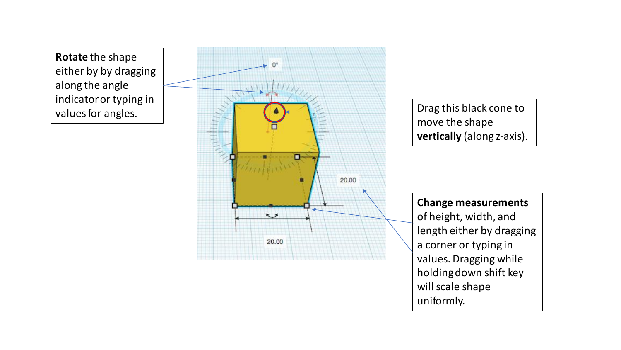**Rotate** the shape either by by dragging along the angle indicator or typing in values for angles.



Drag this black cone to move the shape **vertically** (along z -axis).

**Change measurements**  of height, width, and length either by dragging a corner or typing in values. Dragging while holding down shift key will scale shape uniformly.